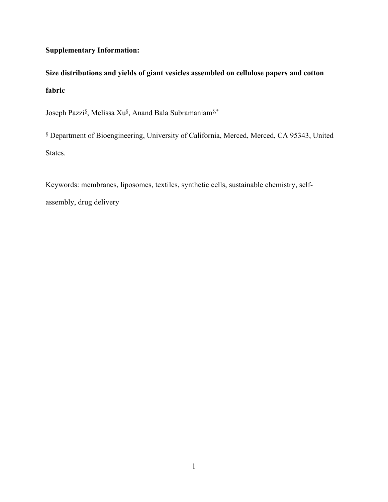## **Supplementary Information:**

**Size distributions and yields of giant vesicles assembled on cellulose papers and cotton fabric** 

Joseph Pazzi§ , Melissa Xu§ , Anand Bala Subramaniam§,\*

§ Department of Bioengineering, University of California, Merced, Merced, CA 95343, United States.

Keywords: membranes, liposomes, textiles, synthetic cells, sustainable chemistry, selfassembly, drug delivery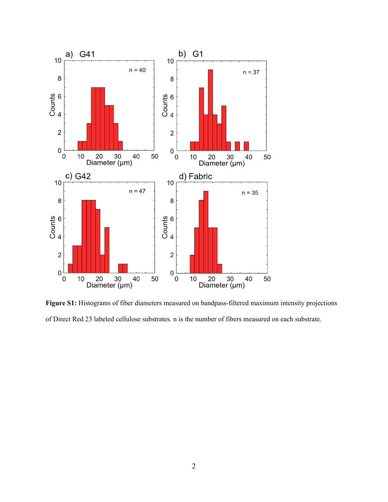

**Figure S1:** Histograms of fiber diameters measured on bandpass-filtered maximum intensity projections of Direct Red 23 labeled cellulose substrates. n is the number of fibers measured on each substrate.